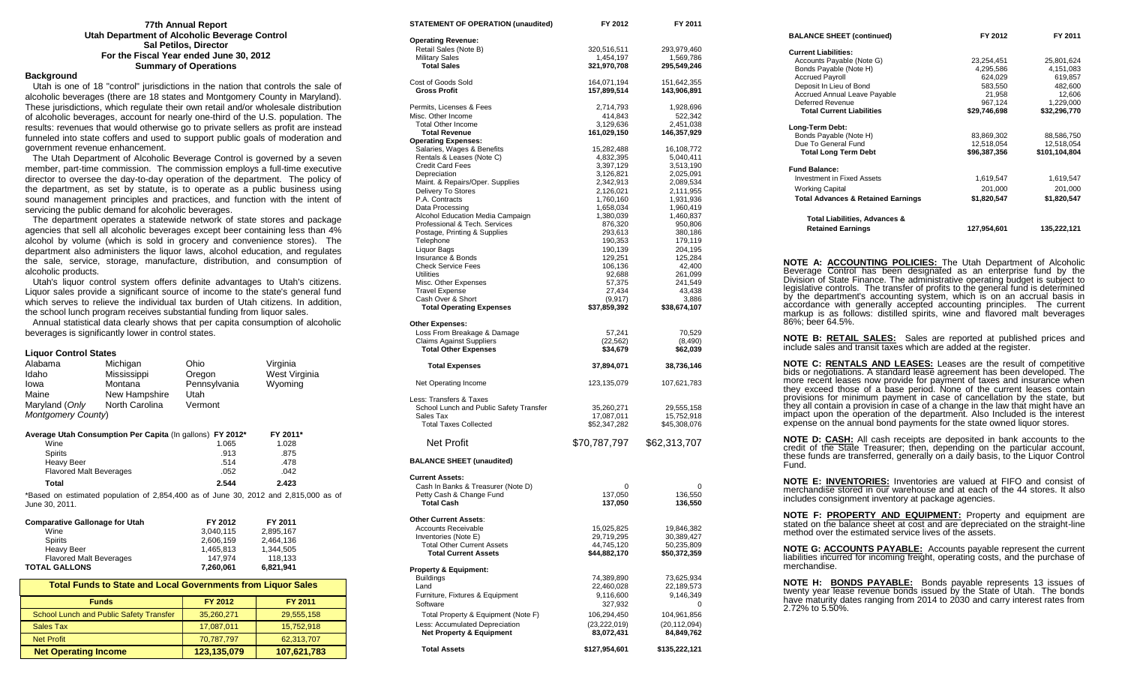#### **77th Annual Report Utah Department of Alcoholic Beverage Control Sal Petilos, Director For the Fiscal Year ended June 30, 2012 Summary of Operations**

#### **Background**

 Utah is one of 18 "control" jurisdictions in the nation that controls the sale of alcoholic beverages (there are 18 states and Montgomery County in Maryland). These jurisdictions, which regulate their own retail and/or wholesale distribution of alcoholic beverages, account for nearly one-third of the U.S. population. The results: revenues that would otherwise go to private sellers as profit are instead funneled into state coffers and used to support public goals of moderation and government revenue enhancement.

 The Utah Department of Alcoholic Beverage Control is governed by a seven member, part-time commission. The commission employs a full-time executive director to oversee the day-to-day operation of the department. The policy of the department, as set by statute, is to operate as a public business using sound management principles and practices, and function with the intent of servicing the public demand for alcoholic beverages.

 The department operates a statewide network of state stores and package agencies that sell all alcoholic beverages except beer containing less than 4% alcohol by volume (which is sold in grocery and convenience stores). The department also administers the liquor laws, alcohol education, and regulates the sale, service, storage, manufacture, distribution, and consumption of alcoholic products.

 Utah's liquor control system offers definite advantages to Utah's citizens. Liquor sales provide a significant source of income to the state's general fund which serves to relieve the individual tax burden of Utah citizens. In addition, the school lunch program receives substantial funding from liquor sales.

 Annual statistical data clearly shows that per capita consumption of alcoholic beverages is significantly lower in control states.

#### **Liquor Control States**

| Alabama                                                             | Michigan                                                  | Ohio         | Virginia                                                                            |  |
|---------------------------------------------------------------------|-----------------------------------------------------------|--------------|-------------------------------------------------------------------------------------|--|
| Idaho                                                               | Mississippi                                               | Oregon       | West Virginia                                                                       |  |
| lowa                                                                | Montana                                                   | Pennsylvania | Wyoming                                                                             |  |
| Maine                                                               | New Hampshire                                             | Utah         |                                                                                     |  |
| Maryland (Only                                                      | North Carolina                                            | Vermont      |                                                                                     |  |
| Montgomery County)                                                  |                                                           |              |                                                                                     |  |
|                                                                     | Average Utah Consumption Per Capita (In gallons) FY 2012* |              | FY 2011*                                                                            |  |
| Wine                                                                |                                                           | 1.065        | 1.028                                                                               |  |
| <b>Spirits</b>                                                      |                                                           | .913         | .875                                                                                |  |
| <b>Heavy Beer</b>                                                   |                                                           | .514         | .478                                                                                |  |
| <b>Flavored Malt Beverages</b>                                      |                                                           | .052         | .042                                                                                |  |
| <b>Total</b>                                                        |                                                           | 2.544        | 2.423                                                                               |  |
| June 30, 2011.                                                      |                                                           |              | *Based on estimated population of 2,854,400 as of June 30, 2012 and 2,815,000 as of |  |
| <b>Comparative Gallonage for Utah</b>                               |                                                           | FY 2012      | FY 2011                                                                             |  |
| Wine                                                                |                                                           | 3,040,115    | 2,895,167                                                                           |  |
| <b>Spirits</b>                                                      |                                                           | 2,606,159    | 2,464,136                                                                           |  |
| <b>Heavy Beer</b>                                                   |                                                           | 1,465,813    | 1,344,505                                                                           |  |
| <b>Flavored Malt Beverages</b>                                      |                                                           | 147,974      | 118,133                                                                             |  |
| <b>TOTAL GALLONS</b>                                                |                                                           | 7,260,061    | 6,821,941                                                                           |  |
| <b>Total Funds to State and Local Governments from Liquor Sales</b> |                                                           |              |                                                                                     |  |
|                                                                     | <b>Funds</b>                                              | FY 2012      | FY 2011                                                                             |  |

| <b>Funds</b>                            | FY 2012     | <b>FY 2011</b> |
|-----------------------------------------|-------------|----------------|
| School Lunch and Public Safety Transfer | 35,260,271  | 29,555,158     |
| Sales Tax                               | 17,087,011  | 15,752,918     |
| <b>Net Profit</b>                       | 70,787,797  | 62,313,707     |
| <b>Net Operating Income</b>             | 123,135,079 | 107,621,783    |

| <b>STATEMENT OF OPERATION (unaudited)</b>                        | FY 2012                    | FY 2011                    |
|------------------------------------------------------------------|----------------------------|----------------------------|
| <b>Operating Revenue:</b>                                        |                            |                            |
| Retail Sales (Note B)                                            | 320,516,511                | 293,979,460                |
| <b>Military Sales</b><br><b>Total Sales</b>                      | 1,454,197<br>321,970,708   | 1,569,786<br>295,549,246   |
|                                                                  |                            |                            |
| Cost of Goods Sold                                               | 164,071,194                | 151,642,355                |
| <b>Gross Profit</b>                                              | 157,899,514                | 143,906,891                |
| Permits, Licenses & Fees                                         | 2,714,793                  | 1,928,696                  |
| Misc. Other Income                                               | 414,843                    | 522,342                    |
| <b>Total Other Income</b><br><b>Total Revenue</b>                | 3,129,636<br>161,029,150   | 2,451,038<br>146,357,929   |
| <b>Operating Expenses:</b>                                       |                            |                            |
| Salaries, Wages & Benefits                                       | 15,282,488                 | 16,108,772                 |
| Rentals & Leases (Note C)                                        | 4,832,395                  | 5,040,411                  |
| <b>Credit Card Fees</b>                                          | 3,397,129                  | 3,513,190                  |
| Depreciation<br>Maint. & Repairs/Oper. Supplies                  | 3,126,821<br>2,342,913     | 2,025,091<br>2,089,534     |
| Delivery To Stores                                               | 2,126,021                  | 2,111,955                  |
| P.A. Contracts                                                   | 1,760,160                  | 1,931,936                  |
| Data Processing                                                  | 1,658,034                  | 1,960,419                  |
| Alcohol Education Media Campaign                                 | 1,380,039                  | 1,460,837                  |
| Professional & Tech. Services                                    | 876,320                    | 950,806                    |
| Postage, Printing & Supplies<br>Telephone                        | 293,613<br>190,353         | 380,186<br>179,119         |
| Liquor Bags                                                      | 190,139                    | 204,195                    |
| Insurance & Bonds                                                | 129,251                    | 125,284                    |
| <b>Check Service Fees</b>                                        | 106,136                    | 42,400                     |
| <b>Utilities</b>                                                 | 92,688                     | 261,099                    |
| Misc. Other Expenses<br><b>Travel Expense</b>                    | 57,375<br>27,434           | 241,549<br>43,438          |
| Cash Over & Short                                                | (9,917)                    | 3,886                      |
| <b>Total Operating Expenses</b>                                  | \$37,859,392               | \$38,674,107               |
| <b>Other Expenses:</b>                                           |                            |                            |
| Loss From Breakage & Damage                                      | 57,241                     | 70,529                     |
| <b>Claims Against Suppliers</b>                                  | (22, 562)                  | (8,490)                    |
| <b>Total Other Expenses</b>                                      | \$34,679                   | \$62,039                   |
| <b>Total Expenses</b>                                            | 37,894,071                 | 38,736,146                 |
| Net Operating Income                                             | 123,135,079                | 107,621,783                |
| Less: Transfers & Taxes                                          |                            |                            |
| School Lunch and Public Safety Transfer                          | 35,260,271                 | 29,555,158                 |
| Sales Tax                                                        | 17,087,011                 | 15,752,918                 |
| <b>Total Taxes Collected</b>                                     | \$52,347,282               | \$45,308,076               |
| Net Profit                                                       | \$70,787,797               | \$62,313,707               |
| <b>BALANCE SHEET (unaudited)</b>                                 |                            |                            |
| <b>Current Assets:</b>                                           |                            |                            |
| Cash In Banks & Treasurer (Note D)                               | 0                          | 0                          |
| Petty Cash & Change Fund                                         | 137,050                    | 136,550                    |
| <b>Total Cash</b>                                                | 137,050                    | 136,550                    |
| Other Current Assets:                                            |                            |                            |
| Accounts Receivable                                              | 15,025,825                 | 19,846,382                 |
| Inventories (Note E)                                             | 29,719,295                 | 30,389,427                 |
| <b>Total Other Current Assets</b><br><b>Total Current Assets</b> | 44,745,120<br>\$44,882,170 | 50,235,809<br>\$50,372,359 |
|                                                                  |                            |                            |
| <b>Property &amp; Equipment:</b>                                 |                            | 73,625,934                 |
| <b>Buildings</b><br>Land                                         | 74,389,890<br>22,460,028   | 22,189,573                 |
| Furniture, Fixtures & Equipment                                  | 9,116,600                  | 9,146,349                  |
| Software                                                         | 327,932                    | 0                          |
| Total Property & Equipment (Note F)                              | 106,294,450                | 104,961,856                |
| Less: Accumulated Depreciation                                   | (23, 222, 019)             | (20, 112, 094)             |
| <b>Net Property &amp; Equipment</b>                              | 83,072,431                 | 84,849,762                 |
| <b>Total Assets</b>                                              | \$127,954,601              | \$135,222,121              |

| <b>BALANCE SHEET (continued)</b>                                                                                                                                                                                                                                                                                                                                                                                                                                                                                                                                                                                           | FY 2012                                        | FY 2011       |
|----------------------------------------------------------------------------------------------------------------------------------------------------------------------------------------------------------------------------------------------------------------------------------------------------------------------------------------------------------------------------------------------------------------------------------------------------------------------------------------------------------------------------------------------------------------------------------------------------------------------------|------------------------------------------------|---------------|
| <b>Current Liabilities:</b>                                                                                                                                                                                                                                                                                                                                                                                                                                                                                                                                                                                                |                                                |               |
| Accounts Payable (Note G)                                                                                                                                                                                                                                                                                                                                                                                                                                                                                                                                                                                                  | 23,254,451                                     | 25,801,624    |
| Bonds Payable (Note H)                                                                                                                                                                                                                                                                                                                                                                                                                                                                                                                                                                                                     | 4,295,586<br>624.029                           | 4,151,083     |
| <b>Accrued Payroll</b>                                                                                                                                                                                                                                                                                                                                                                                                                                                                                                                                                                                                     | 624,029                                        | 619,857       |
| Deposit In Lieu of Bond                                                                                                                                                                                                                                                                                                                                                                                                                                                                                                                                                                                                    |                                                | 482,600       |
| Accrued Annual Leave Payable                                                                                                                                                                                                                                                                                                                                                                                                                                                                                                                                                                                               |                                                | 12,606        |
| <b>Deferred Revenue</b>                                                                                                                                                                                                                                                                                                                                                                                                                                                                                                                                                                                                    |                                                | 1,229,000     |
| <b>Total Current Liabilities</b>                                                                                                                                                                                                                                                                                                                                                                                                                                                                                                                                                                                           | $583,550$<br>21,958<br>967,124<br>\$29,746,698 | \$32,296,770  |
| Long-Term Debt:                                                                                                                                                                                                                                                                                                                                                                                                                                                                                                                                                                                                            |                                                |               |
| Bonds Payable (Note H)                                                                                                                                                                                                                                                                                                                                                                                                                                                                                                                                                                                                     | 83,869,302                                     | 88,586,750    |
| Due To General Fund                                                                                                                                                                                                                                                                                                                                                                                                                                                                                                                                                                                                        | 12,518,054                                     | 12,518,054    |
| <b>Total Long Term Debt</b>                                                                                                                                                                                                                                                                                                                                                                                                                                                                                                                                                                                                | \$96,387,356                                   | \$101,104,804 |
|                                                                                                                                                                                                                                                                                                                                                                                                                                                                                                                                                                                                                            |                                                |               |
| <b>Fund Balance:</b>                                                                                                                                                                                                                                                                                                                                                                                                                                                                                                                                                                                                       |                                                |               |
| <b>Investment in Fixed Assets</b>                                                                                                                                                                                                                                                                                                                                                                                                                                                                                                                                                                                          | 1,619,547                                      | 1,619,547     |
| <b>Working Capital</b>                                                                                                                                                                                                                                                                                                                                                                                                                                                                                                                                                                                                     | 201,000                                        | 201,000       |
| <b>Total Advances &amp; Retained Earnings</b>                                                                                                                                                                                                                                                                                                                                                                                                                                                                                                                                                                              | \$1,820,547                                    | \$1,820,547   |
|                                                                                                                                                                                                                                                                                                                                                                                                                                                                                                                                                                                                                            |                                                |               |
| Total Liabilities, Advances &                                                                                                                                                                                                                                                                                                                                                                                                                                                                                                                                                                                              |                                                |               |
| <b>Retained Earnings</b>                                                                                                                                                                                                                                                                                                                                                                                                                                                                                                                                                                                                   | 127,954,601                                    | 135,222,121   |
|                                                                                                                                                                                                                                                                                                                                                                                                                                                                                                                                                                                                                            |                                                |               |
| NOTE A: ACCOUNTING POLICIES: The Utah Department of Alcoholic<br>Beverage Control has been designated as an enterprise fund by the<br>Division of State Finance. The administrative operating budget is subject to<br>legislative controls. The transfer of profits to the general fund is determined<br>by the department's accounting system, which is on an accrual basis in<br>accordance with generally accepted accounting principles. The current<br>markup is as follows: distilled spirits, wine and flavored malt beverages<br>86%; beer 64.5%.                                                                  |                                                |               |
| NOTE B: RETAIL SALES:<br>include sales and transit taxes which are added at the register.                                                                                                                                                                                                                                                                                                                                                                                                                                                                                                                                  | Sales are reported at published prices and     |               |
| NOTE C: <b>RENTALS AND LEASES:</b> Leases are the result of competitive bids or negotiations. A standard lease agreement has been developed. The<br>more recent leases now provide for payment of taxes and insurance when<br>they exceed those of a base period. None of the current leases contain<br>provisions for minimum payment in case of cancellation by the state, but<br>they all contain a provision in case of a change in the law that might have an<br>impact upon the operation of the department. Also Included is the interest<br>expense on the annual bond payments for the state owned liquor stores. |                                                |               |
| <b>NOTE D: CASH:</b> All cash receipts are deposited in bank accounts to the<br>credit of the State Treasurer; then, depending on the particular account, these funds are transferred, generally on a daily basis, to the Liquor Control<br>Fund.                                                                                                                                                                                                                                                                                                                                                                          |                                                |               |
| <b>NOTE E: INVENTORIES:</b> Inventories are valued at FIFO and consist of merchandise stored in our warehouse and at each of the 44 stores. It also<br>includes consignment inventory at package agencies.                                                                                                                                                                                                                                                                                                                                                                                                                 |                                                |               |
| NOTE F: PROPERTY AND EQUIPMENT: Property and equipment are<br>stated on the balance sheet at cost and are depreciated on the straight-line<br>method over the estimated service lives of the assets.                                                                                                                                                                                                                                                                                                                                                                                                                       |                                                |               |
| NOTE G: ACCOUNTS PAYABLE: Accounts payable represent the current<br>liabilities incurred for incoming freight, operating costs, and the purchase of<br>merchandise.                                                                                                                                                                                                                                                                                                                                                                                                                                                        |                                                |               |
|                                                                                                                                                                                                                                                                                                                                                                                                                                                                                                                                                                                                                            |                                                |               |

**NOTE H: BONDS PAYABLE:** Bonds payable represents 13 issues of twenty year lease revenue bonds issued by the State of Utah. The bonds have maturity dates ranging from 2014 to 2030 and carry interest rates from 2.72% to 5.50%.